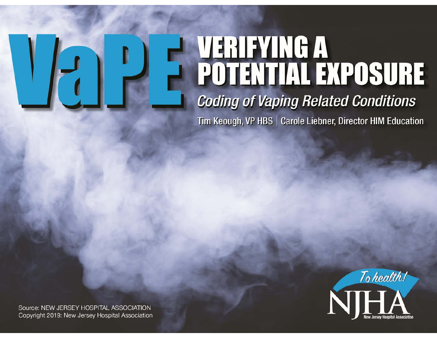# VERIFYING A<br>POTENTIAL EXPOSURE **Coding of Vaping Related Conditions**

Tim Keough, VP HBS | Carole Liebner, Director HIM Education



Source: NEW SERVICE: NIGHT MILWISCOP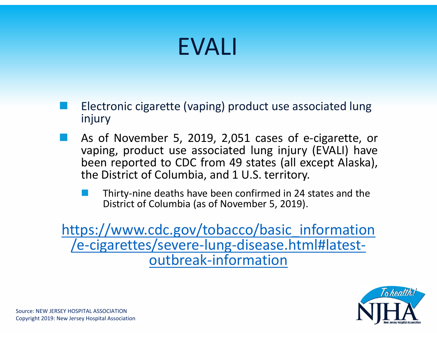### EVALI

- Electronic cigarette (vaping) product use associated lung injury
- As of November 5, 2019, 2,051 cases of e‐cigarette, or vaping, product use associated lung injury (EVALI) have been reported to CDC from 49 states (all except Alaska), the District of Columbia, and 1 U.S. territory.
	- Thirty‐nine deaths have been confirmed in 24 states and the District of Columbia (as of November 5, 2019).

https://www.cdc.gov/tobacco/basic\_information /e‐cigarettes/severe‐lung‐disease.html#latest‐ outbreak‐information

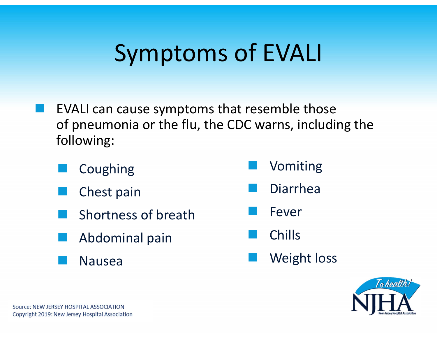### Symptoms of EVALI

- EVALI can cause symptoms that resemble those of pneumonia or the flu, the CDC warns, including the following:
	- Coughing
	- Chest pain
	- Shortness of breath
	- Abdominal pain
	- Nausea
- Vomiting
- i<br>M Diarrhea
- Fever
- Chills
- i<br>M Weight loss

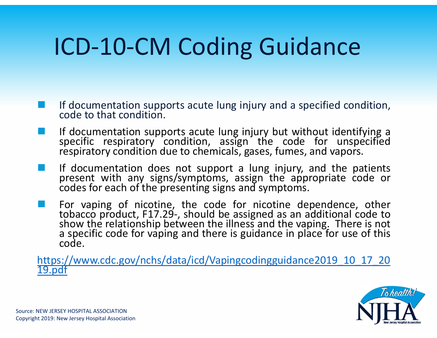# ICD‐10‐CM Coding Guidance

- If documentation supports acute lung injury and <sup>a</sup> specified condition, code to that condition.
- If documentation supports acute lung injury but without identifying a<br>specific respiratory condition, assign the code for unspecified respiratory condition due to chemicals, gases, fumes, and vapors.
- **If documentation does not support a lung injury, and the patients** present with any signs/symptoms, assign the appropriate code or<br>codes for each of the presenting signs and symptoms.
- For vaping of nicotine, the code for nicotine dependence, other tobacco product, F17.29-, should be assigned as an additional code to show the relationship between the illness and the vaping. There is not a specific code for vaping and there is guidance in place for use of this code.

https://www.cdc.gov/nchs/data/icd/Vapingcodingguidance2019\_10\_17\_20<br> 19.pdf

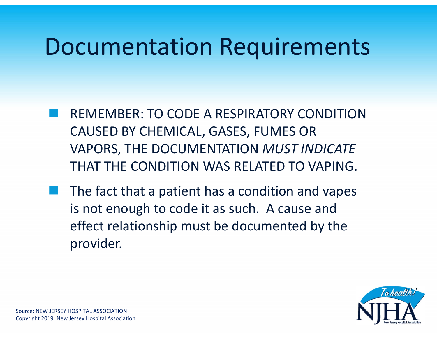### Documentation Requirements

- REMEMBER: TO CODE A RESPIRATORY CONDITION CAUSED BY CHEMICAL, GASES, FUMES OR VAPORS, THE DOCUMENTATION *MUST INDICATE*  THAT THE CONDITION WAS RELATED TO VAPING.
- The fact that a patient has a condition and vapes is not enough to code it as such. A cause and effect relationship must be documented by the provider.

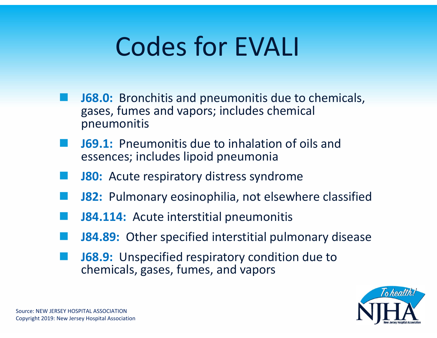# Codes for EVALI

- **J68.0:** Bronchitis and pneumonitis due to chemicals, gases, fumes and vapors; includes chemical pneumonitis
- **J69.1:** Pneumonitis due to inhalation of oils and essences; includes lipoid pneumonia
- **J80:** Acute respiratory distress syndrome
- **J82:** Pulmonary eosinophilia, not elsewhere classified
- **J84.114:** Acute interstitial pneumonitis
- **J84.89:** Other specified interstitial pulmonary disease
- **J68.9:** Unspecified respiratory condition due to chemicals, gases, fumes, and vapors

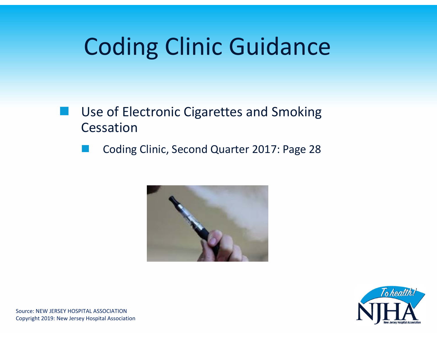# Coding Clinic Guidance

- Use of Electronic Cigarettes and Smoking Cessation
	- Coding Clinic, Second Quarter 2017: Page 28



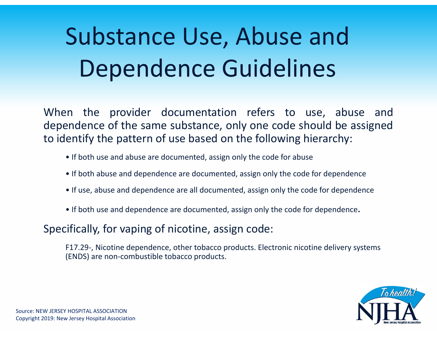# Substance Use, Abuse and Dependence Guidelines

When the provider documentation refers to use, abuse and dependence of the same substance, only one code should be assigned to identify the pattern of use based on the following hierarchy:

- If both use and abuse are documented, assign only the code for abuse
- If both abuse and dependence are documented, assign only the code for dependence
- If use, abuse and dependence are all documented, assign only the code for dependence
- If both use and dependence are documented, assign only the code for dependence.

#### Specifically, for vaping of nicotine, assign code:

F17.29‐, Nicotine dependence, other tobacco products. Electronic nicotine delivery systems (ENDS) are non‐combustible tobacco products.

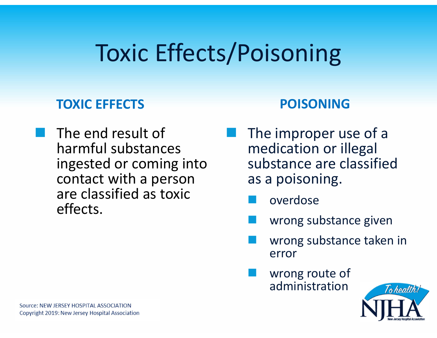# Toxic Effects/Poisoning

#### **TOXIC EFFECTS**

 The end result of harmful substances ingested or coming into contact with a person are classified as toxic effects.

#### **POISONING**

- The improper use of a medication or illegal substance are classified as a poisoning.
	- **Service Service** overdose
	- wrong substance given
	- wrong substance taken in error
	- wrong route of administration

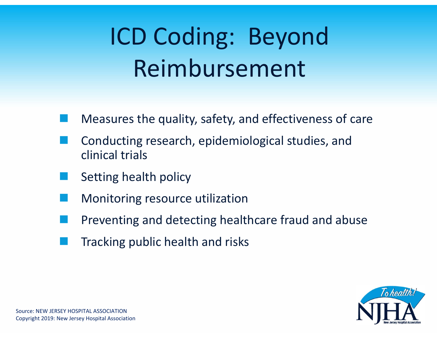# ICD Coding: Beyond Reimbursement

- Measures the quality, safety, and effectiveness of care
- Conducting research, epidemiological studies, and clinical trials
- Setting health policy
- Monitoring resource utilization
- Preventing and detecting healthcare fraud and abuse
- Tracking public health and risks